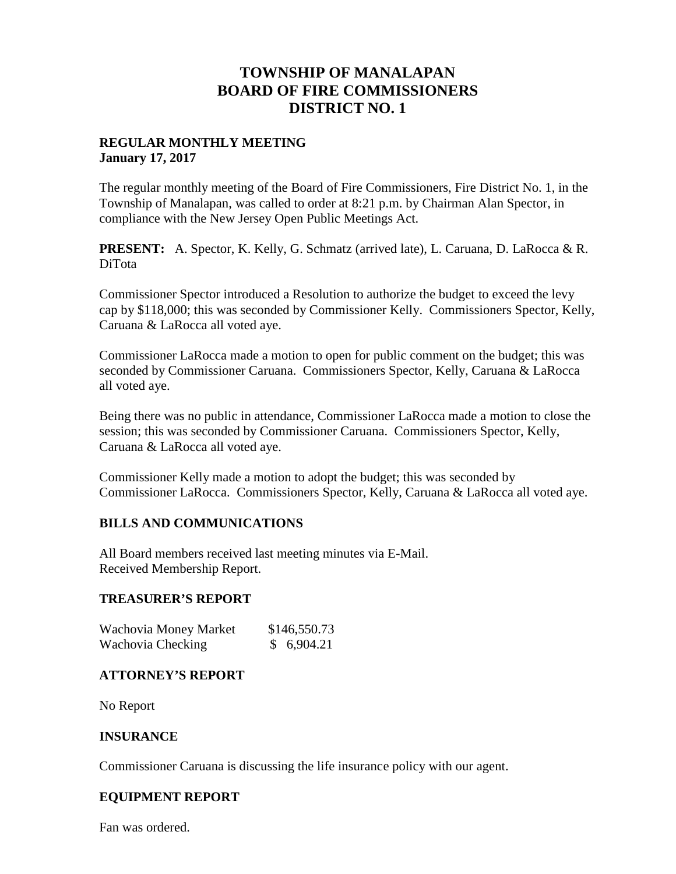# **TOWNSHIP OF MANALAPAN BOARD OF FIRE COMMISSIONERS DISTRICT NO. 1**

## **REGULAR MONTHLY MEETING January 17, 2017**

The regular monthly meeting of the Board of Fire Commissioners, Fire District No. 1, in the Township of Manalapan, was called to order at 8:21 p.m. by Chairman Alan Spector, in compliance with the New Jersey Open Public Meetings Act.

**PRESENT:** A. Spector, K. Kelly, G. Schmatz (arrived late), L. Caruana, D. LaRocca & R. DiTota

Commissioner Spector introduced a Resolution to authorize the budget to exceed the levy cap by \$118,000; this was seconded by Commissioner Kelly. Commissioners Spector, Kelly, Caruana & LaRocca all voted aye.

Commissioner LaRocca made a motion to open for public comment on the budget; this was seconded by Commissioner Caruana. Commissioners Spector, Kelly, Caruana & LaRocca all voted aye.

Being there was no public in attendance, Commissioner LaRocca made a motion to close the session; this was seconded by Commissioner Caruana. Commissioners Spector, Kelly, Caruana & LaRocca all voted aye.

Commissioner Kelly made a motion to adopt the budget; this was seconded by Commissioner LaRocca. Commissioners Spector, Kelly, Caruana & LaRocca all voted aye.

# **BILLS AND COMMUNICATIONS**

All Board members received last meeting minutes via E-Mail. Received Membership Report.

### **TREASURER'S REPORT**

| Wachovia Money Market | \$146,550.73 |
|-----------------------|--------------|
| Wachovia Checking     | \$6,904.21   |

# **ATTORNEY'S REPORT**

No Report

### **INSURANCE**

Commissioner Caruana is discussing the life insurance policy with our agent.

### **EQUIPMENT REPORT**

Fan was ordered.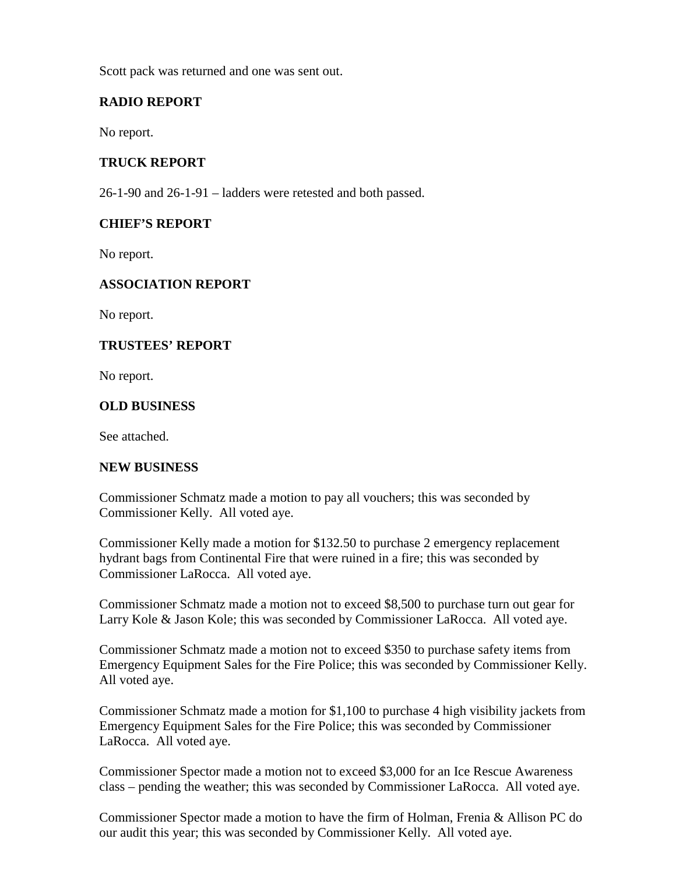Scott pack was returned and one was sent out.

# **RADIO REPORT**

No report.

## **TRUCK REPORT**

26-1-90 and 26-1-91 – ladders were retested and both passed.

## **CHIEF'S REPORT**

No report.

# **ASSOCIATION REPORT**

No report.

## **TRUSTEES' REPORT**

No report.

### **OLD BUSINESS**

See attached.

### **NEW BUSINESS**

Commissioner Schmatz made a motion to pay all vouchers; this was seconded by Commissioner Kelly. All voted aye.

Commissioner Kelly made a motion for \$132.50 to purchase 2 emergency replacement hydrant bags from Continental Fire that were ruined in a fire; this was seconded by Commissioner LaRocca. All voted aye.

Commissioner Schmatz made a motion not to exceed \$8,500 to purchase turn out gear for Larry Kole & Jason Kole; this was seconded by Commissioner LaRocca. All voted aye.

Commissioner Schmatz made a motion not to exceed \$350 to purchase safety items from Emergency Equipment Sales for the Fire Police; this was seconded by Commissioner Kelly. All voted aye.

Commissioner Schmatz made a motion for \$1,100 to purchase 4 high visibility jackets from Emergency Equipment Sales for the Fire Police; this was seconded by Commissioner LaRocca. All voted aye.

Commissioner Spector made a motion not to exceed \$3,000 for an Ice Rescue Awareness class – pending the weather; this was seconded by Commissioner LaRocca. All voted aye.

Commissioner Spector made a motion to have the firm of Holman, Frenia & Allison PC do our audit this year; this was seconded by Commissioner Kelly. All voted aye.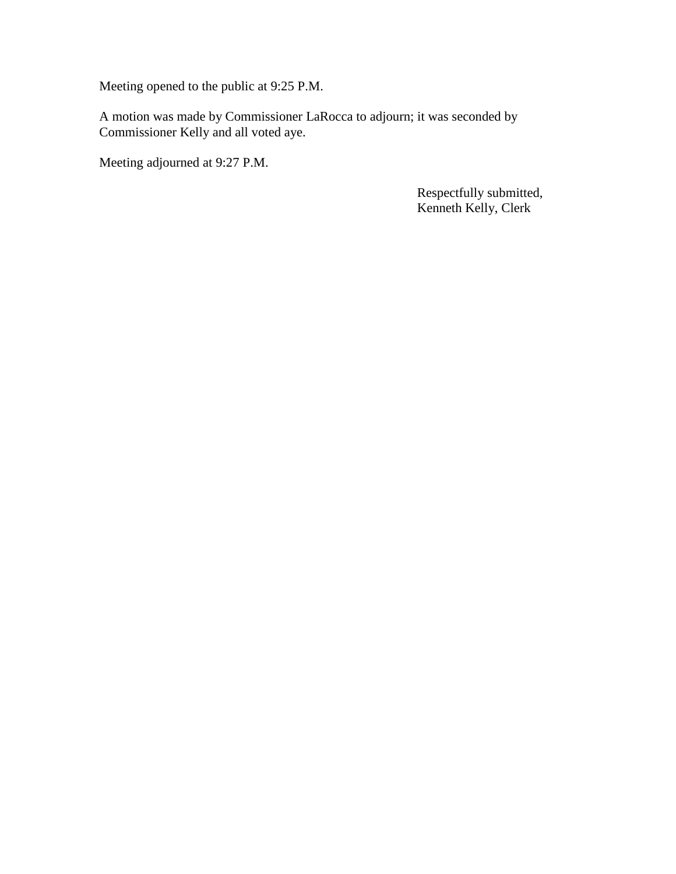Meeting opened to the public at 9:25 P.M.

A motion was made by Commissioner LaRocca to adjourn; it was seconded by Commissioner Kelly and all voted aye.

Meeting adjourned at 9:27 P.M.

Respectfully submitted, Kenneth Kelly, Clerk